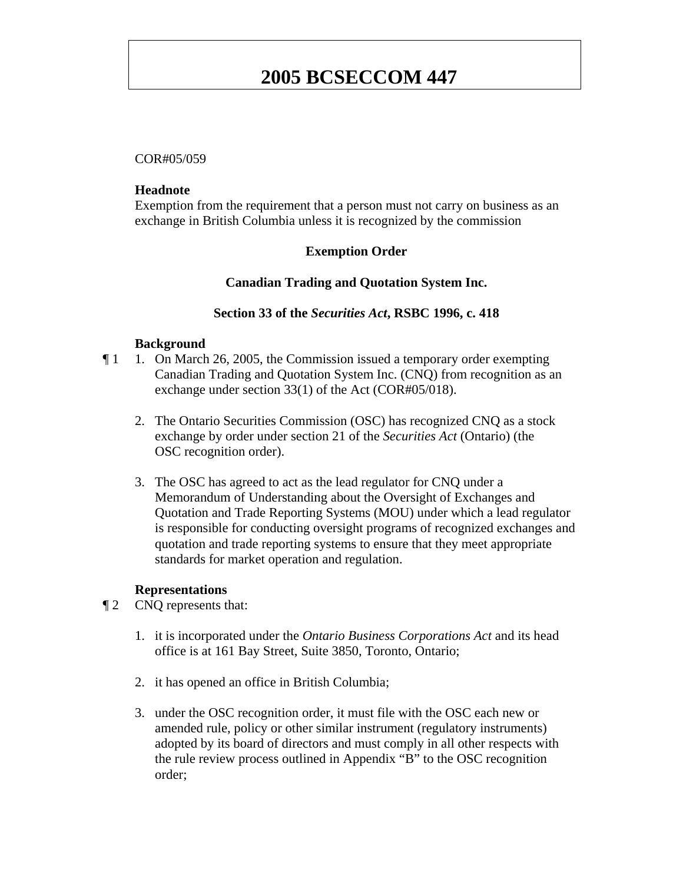# **2005 BCSECCOM 447**

### COR#05/059

#### **Headnote**

Exemption from the requirement that a person must not carry on business as an exchange in British Columbia unless it is recognized by the commission

# **Exemption Order**

## **Canadian Trading and Quotation System Inc.**

### **Section 33 of the** *Securities Act***, RSBC 1996, c. 418**

#### **Background**

- ¶ 1 1. On March 26, 2005, the Commission issued a temporary order exempting Canadian Trading and Quotation System Inc. (CNQ) from recognition as an exchange under section 33(1) of the Act (COR#05/018).
	- 2. The Ontario Securities Commission (OSC) has recognized CNQ as a stock exchange by order under section 21 of the *Securities Act* (Ontario) (the OSC recognition order).
	- 3. The OSC has agreed to act as the lead regulator for CNQ under a Memorandum of Understanding about the Oversight of Exchanges and Quotation and Trade Reporting Systems (MOU) under which a lead regulator is responsible for conducting oversight programs of recognized exchanges and quotation and trade reporting systems to ensure that they meet appropriate standards for market operation and regulation.

#### **Representations**

- ¶ 2 CNQ represents that:
	- 1. it is incorporated under the *Ontario Business Corporations Act* and its head office is at 161 Bay Street, Suite 3850, Toronto, Ontario;
	- 2. it has opened an office in British Columbia;
	- 3. under the OSC recognition order, it must file with the OSC each new or amended rule, policy or other similar instrument (regulatory instruments) adopted by its board of directors and must comply in all other respects with the rule review process outlined in Appendix "B" to the OSC recognition order;